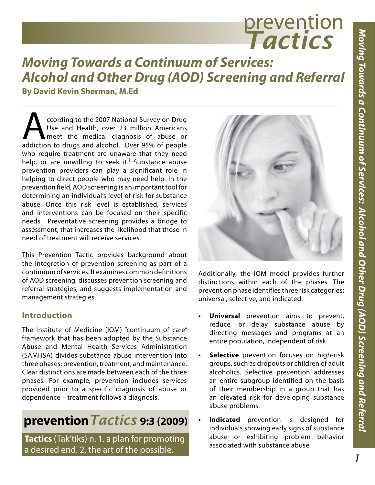# prevention *Tactics*

## *Moving Towards a Continuum of Services: Alcohol and Other Drug (AOD) Screening and Referral*

**By David Kevin Sherman, M.Ed**

Cording to the 2007 National Survey on Drug<br>Use and Health, over 23 million Americans<br>addiction to drugs and alcohol. Over 95% of people Use and Health, over 23 million Americans meet the medical diagnosis of abuse or addiction to drugs and alcohol. Over 95% of people who require treatment are unaware that they need help, or are unwilling to seek it.<sup>i</sup> Substance abuse prevention providers can play a significant role in helping to direct people who may need help. In the prevention field, AOD screening is an important tool for determining an individual's level of risk for substance abuse. Once this risk level is established, services and interventions can be focused on their specific needs. Preventative screening provides a bridge to assessment, that increases the likelihood that those in need of treatment will receive services.

This Prevention Tactic provides background about the integretion of prevention screening as part of a continuum of services. It examines common definitions of AOD screening, discusses prevention screening and referral strategies, and suggests implementation and management strategies.

#### **Introduction**

The Institute of Medicine (IOM) "continuum of care" framework that has been adopted by the Substance Abuse and Mental Health Services Administration (SAMHSA) divides substance abuse intervention into three phases: prevention, treatment, and maintenance. Clear distinctions are made between each of the three phases. For example, prevention includes services provided prior to a specific diagnosis of abuse or dependence – treatment follows a diagnosis.

### **prevention***Tactics* **9:3 (2009)**

**Tactics** (Tak'tiks) n. 1. a plan for promoting a desired end. 2. the art of the possible.



Additionally, the IOM model provides further distinctions within each of the phases. The prevention phase identifies three risk categories: universal, selective, and indicated.

- **Universal** prevention aims to prevent, reduce, or delay substance abuse by directing messages and programs at an entire population, independent of risk.
- **Selective** prevention focuses on high-risk groups, such as dropouts or children of adult alcoholics. Selective prevention addresses an entire subgroup identified on the basis of their membership in a group that has an elevated risk for developing substance abuse problems.
- **Indicated** prevention is designed for individuals showing early signs of substance abuse or exhibiting problem behavior associated with substance abuse.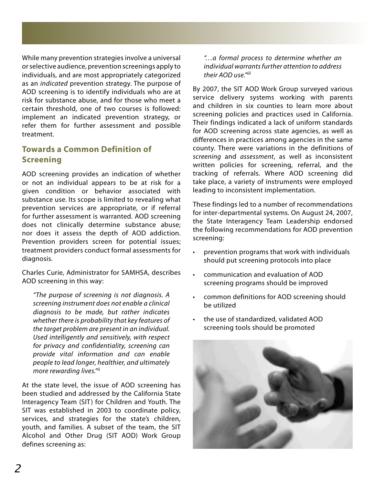While many prevention strategies involve a universal or selective audience, prevention screenings apply to individuals, and are most appropriately categorized as an *indicated* prevention strategy. The purpose of AOD screening is to identify individuals who are at risk for substance abuse, and for those who meet a certain threshold, one of two courses is followed: implement an indicated prevention strategy, or refer them for further assessment and possible treatment.

#### **Towards a Common Definition of Screening**

AOD screening provides an indication of whether or not an individual appears to be at risk for a given condition or behavior associated with substance use. Its scope is limited to revealing what prevention services are appropriate, or if referral for further assessment is warranted. AOD screening does not clinically determine substance abuse; nor does it assess the depth of AOD addiction. Prevention providers screen for potential issues; treatment providers conduct formal assessments for diagnosis.

Charles Curie, Administrator for SAMHSA, describes AOD screening in this way:

*"The purpose of screening is not diagnosis. A screening instrument does not enable a clinical diagnosis to be made, but rather indicates whether there is probability that key features of the target problem are present in an individual. Used intelligently and sensitively, with respect for privacy and confidentiality, screening can provide vital information and can enable people to lead longer, healthier, and ultimately more rewarding lives."ii*

At the state level, the issue of AOD screening has been studied and addressed by the California State Interagency Team (SIT) for Children and Youth. The SIT was established in 2003 to coordinate policy, services, and strategies for the state's children, youth, and families. A subset of the team, the SIT Alcohol and Other Drug (SIT AOD) Work Group defines screening as:

*"…a formal process to determine whether an individual warrants further attention to address their AOD use."iii*

By 2007, the SIT AOD Work Group surveyed various service delivery systems working with parents and children in six counties to learn more about screening policies and practices used in California. Their findings indicated a lack of uniform standards for AOD screening across state agencies, as well as differences in practices among agencies in the same county. There were variations in the definitions of *screening* and *assessment*, as well as inconsistent written policies for screening, referral, and the tracking of referrals. Where AOD screening did take place, a variety of instruments were employed leading to inconsistent implementation.

These findings led to a number of recommendations for inter-departmental systems. On August 24, 2007, the State Interagency Team Leadership endorsed the following recommendations for AOD prevention screening:

- prevention programs that work with individuals should put screening protocols into place
- communication and evaluation of AOD screening programs should be improved
- common definitions for AOD screening should be utilized
- the use of standardized, validated AOD screening tools should be promoted

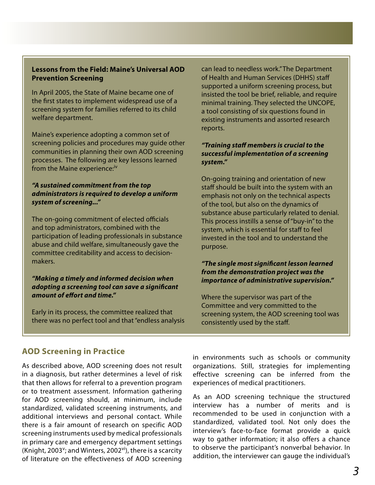#### **Lessons from the Field: Maine's Universal AOD Prevention Screening**

In April 2005, the State of Maine became one of the first states to implement widespread use of a screening system for families referred to its child welfare department.

Maine's experience adopting a common set of screening policies and procedures may guide other communities in planning their own AOD screening processes. The following are key lessons learned from the Maine experience:<sup>iv</sup>

#### *"A sustained commitment from the top administrators is required to develop a uniform system of screening..."*

The on-going commitment of elected officials and top administrators, combined with the participation of leading professionals in substance abuse and child welfare, simultaneously gave the committee creditability and access to decisionmakers.

#### *"Making a timely and informed decision when adopting a screening tool can save a significant amount of effort and time."*

Early in its process, the committee realized that there was no perfect tool and that "endless analysis can lead to needless work." The Department of Health and Human Services (DHHS) staff supported a uniform screening process, but insisted the tool be brief, reliable, and require minimal training. They selected the UNCOPE, a tool consisting of six questions found in existing instruments and assorted research reports.

#### *"Training staff members is crucial to the successful implementation of a screening system."*

On-going training and orientation of new staff should be built into the system with an emphasis not only on the technical aspects of the tool, but also on the dynamics of substance abuse particularly related to denial. This process instills a sense of "buy-in" to the system, which is essential for staff to feel invested in the tool and to understand the purpose.

#### *"The single most significant lesson learned from the demonstration project was the importance of administrative supervision."*

Where the supervisor was part of the Committee and very committed to the screening system, the AOD screening tool was consistently used by the staff.

#### **AOD Screening in Practice**

As described above, AOD screening does not result in a diagnosis, but rather determines a level of risk that then allows for referral to a prevention program or to treatment assessment. Information gathering for AOD screening should, at minimum, include standardized, validated screening instruments, and additional interviews and personal contact. While there is a fair amount of research on specific AOD screening instruments used by medical professionals in primary care and emergency department settings (Knight, 2003<sup>v</sup>; and Winters, 2002<sup>vi</sup>), there is a scarcity of literature on the effectiveness of AOD screening in environments such as schools or community organizations. Still, strategies for implementing effective screening can be inferred from the experiences of medical practitioners.

As an AOD screening technique the structured interview has a number of merits and is recommended to be used in conjunction with a standardized, validated tool. Not only does the interview's face-to-face format provide a quick way to gather information; it also offers a chance to observe the participant's nonverbal behavior. In addition, the interviewer can gauge the individual's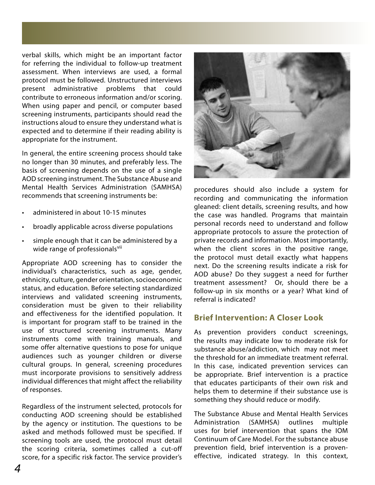verbal skills, which might be an important factor for referring the individual to follow-up treatment assessment. When interviews are used, a formal protocol must be followed. Unstructured interviews present administrative problems that could contribute to erroneous information and/or scoring. When using paper and pencil, or computer based screening instruments, participants should read the instructions aloud to ensure they understand what is expected and to determine if their reading ability is appropriate for the instrument.

In general, the entire screening process should take no longer than 30 minutes, and preferably less. The basis of screening depends on the use of a single AOD screening instrument. The Substance Abuse and Mental Health Services Administration (SAMHSA) recommends that screening instruments be:

- administered in about 10-15 minutes
- broadly applicable across diverse populations
- simple enough that it can be administered by a wide range of professionals<sup>vii</sup>

Appropriate AOD screening has to consider the individual's characteristics, such as age, gender, ethnicity, culture, gender orientation, socioeconomic status, and education. Before selecting standardized interviews and validated screening instruments, consideration must be given to their reliability and effectiveness for the identified population. It is important for program staff to be trained in the use of structured screening instruments. Many instruments come with training manuals, and some offer alternative questions to pose for unique audiences such as younger children or diverse cultural groups. In general, screening procedures must incorporate provisions to sensitively address individual differences that might affect the reliability of responses.

Regardless of the instrument selected, protocols for conducting AOD screening should be established by the agency or institution. The questions to be asked and methods followed must be specified. If screening tools are used, the protocol must detail the scoring criteria, sometimes called a cut-off score, for a specific risk factor. The service provider's



procedures should also include a system for recording and communicating the information gleaned: client details, screening results, and how the case was handled. Programs that maintain personal records need to understand and follow appropriate protocols to assure the protection of private records and information. Most importantly, when the client scores in the positive range, the protocol must detail exactly what happens next. Do the screening results indicate a risk for AOD abuse? Do they suggest a need for further treatment assessment? Or, should there be a follow-up in six months or a year? What kind of referral is indicated?

#### **Brief Intervention: A Closer Look**

As prevention providers conduct screenings, the results may indicate low to moderate risk for substance abuse/addiction, which may not meet the threshold for an immediate treatment referral. In this case, indicated prevention services can be appropriate. Brief intervention is a practice that educates participants of their own risk and helps them to determine if their substance use is something they should reduce or modify.

The Substance Abuse and Mental Health Services Administration (SAMHSA) outlines multiple uses for brief intervention that spans the IOM Continuum of Care Model. For the substance abuse prevention field, brief intervention is a proveneffective, indicated strategy. In this context,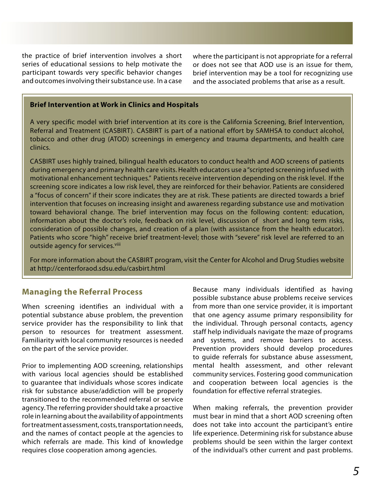the practice of brief intervention involves a short series of educational sessions to help motivate the participant towards very specific behavior changes and outcomes involving their substance use. In a case

where the participant is not appropriate for a referral or does not see that AOD use is an issue for them, brief intervention may be a tool for recognizing use and the associated problems that arise as a result.

#### **Brief Intervention at Work in Clinics and Hospitals**

A very specific model with brief intervention at its core is the California Screening, Brief Intervention, Referral and Treatment (CASBIRT). CASBIRT is part of a national effort by SAMHSA to conduct alcohol, tobacco and other drug (ATOD) screenings in emergency and trauma departments, and health care clinics.

CASBIRT uses highly trained, bilingual health educators to conduct health and AOD screens of patients during emergency and primary health care visits. Health educators use a "scripted screening infused with motivational enhancement techniques." Patients receive intervention depending on the risk level. If the screening score indicates a low risk level, they are reinforced for their behavior. Patients are considered a "focus of concern" if their score indicates they are at risk. These patients are directed towards a brief intervention that focuses on increasing insight and awareness regarding substance use and motivation toward behavioral change. The brief intervention may focus on the following content: education, information about the doctor's role, feedback on risk level, discussion of short and long term risks, consideration of possible changes, and creation of a plan (with assistance from the health educator). Patients who score "high" receive brief treatment-level; those with "severe" risk level are referred to an outside agency for services.<sup>viii</sup>

For more information about the CASBIRT program, visit the Center for Alcohol and Drug Studies website at http://centerforaod.sdsu.edu/casbirt.html

#### **Managing the Referral Process**

When screening identifies an individual with a potential substance abuse problem, the prevention service provider has the responsibility to link that person to resources for treatment assessment. Familiarity with local community resources is needed on the part of the service provider.

Prior to implementing AOD screening, relationships with various local agencies should be established to guarantee that individuals whose scores indicate risk for substance abuse/addiction will be properly transitioned to the recommended referral or service agency. The referring provider should take a proactive role in learning about the availability of appointments for treatment assessment, costs, transportation needs, and the names of contact people at the agencies to which referrals are made. This kind of knowledge requires close cooperation among agencies.

Because many individuals identified as having possible substance abuse problems receive services from more than one service provider, it is important that one agency assume primary responsibility for the individual. Through personal contacts, agency staff help individuals navigate the maze of programs and systems, and remove barriers to access. Prevention providers should develop procedures to guide referrals for substance abuse assessment, mental health assessment, and other relevant community services. Fostering good communication and cooperation between local agencies is the foundation for effective referral strategies.

When making referrals, the prevention provider must bear in mind that a short AOD screening often does not take into account the participant's entire life experience. Determining risk for substance abuse problems should be seen within the larger context of the individual's other current and past problems.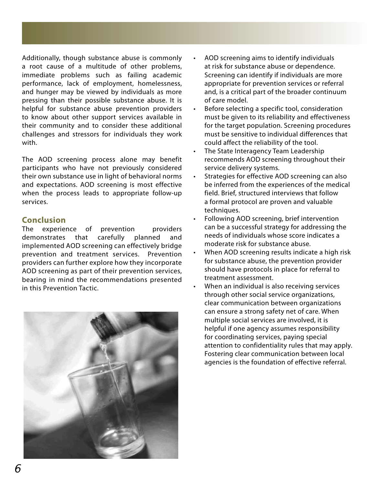Additionally, though substance abuse is commonly a root cause of a multitude of other problems, immediate problems such as failing academic performance, lack of employment, homelessness, and hunger may be viewed by individuals as more pressing than their possible substance abuse. It is helpful for substance abuse prevention providers to know about other support services available in their community and to consider these additional challenges and stressors for individuals they work with.

The AOD screening process alone may benefit participants who have not previously considered their own substance use in light of behavioral norms and expectations. AOD screening is most effective when the process leads to appropriate follow-up services.

#### **Conclusion**

The experience of prevention providers demonstrates that carefully planned and implemented AOD screening can effectively bridge prevention and treatment services. Prevention providers can further explore how they incorporate AOD screening as part of their prevention services, bearing in mind the recommendations presented in this Prevention Tactic.



- AOD screening aims to identify individuals at risk for substance abuse or dependence. Screening can identify if individuals are more appropriate for prevention services or referral and, is a critical part of the broader continuum of care model.
- Before selecting a specific tool, consideration must be given to its reliability and effectiveness for the target population. Screening procedures must be sensitive to individual differences that could affect the reliability of the tool.
- The State Interagency Team Leadership recommends AOD screening throughout their service delivery systems.
- Strategies for effective AOD screening can also be inferred from the experiences of the medical field. Brief, structured interviews that follow a formal protocol are proven and valuable techniques.
- Following AOD screening, brief intervention can be a successful strategy for addressing the needs of individuals whose score indicates a moderate risk for substance abuse.
- When AOD screening results indicate a high risk for substance abuse, the prevention provider should have protocols in place for referral to treatment assessment.
- When an individual is also receiving services through other social service organizations, clear communication between organizations can ensure a strong safety net of care. When multiple social services are involved, it is helpful if one agency assumes responsibility for coordinating services, paying special attention to confidentiality rules that may apply. Fostering clear communication between local agencies is the foundation of effective referral.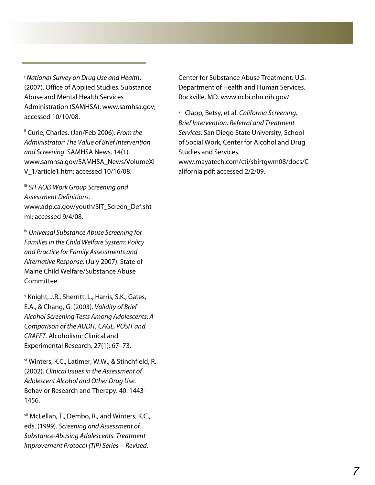<sup>i</sup> *National Survey on Drug Use and Health*. (2007). Office of Applied Studies. Substance Abuse and Mental Health Services Administration (SAMHSA). www.samhsa.gov; accessed 10/10/08.

ii Curie, Charles. (Jan/Feb 2006). *From the Administrator: The Value of Brief Intervention and Screening*. SAMHSA News. 14(1). www.samhsa.gov/SAMHSA\_News/VolumeXI V\_1/article1.htm; accessed 10/16/08.

iii *SIT AOD Work Group Screening and Assessment Definitions*. www.adp.ca.gov/youth/SIT\_Screen\_Def.sht ml; accessed 9/4/08.

iv *Universal Substance Abuse Screening for Families in the Child Welfare System: Policy and Practice for Family Assessments and Alternative Response*. (July 2007). State of Maine Child Welfare/Substance Abuse Committee.

v Knight, J.R., Sherritt, L., Harris, S.K., Gates, E.A., & Chang, G. (2003). *Validity of Brief Alcohol Screening Tests Among Adolescents: A Comparison of the AUDIT, CAGE, POSIT and CRAFFT*. Alcoholism: Clinical and Experimental Research. 27(1): 67–73.

vi Winters, K.C., Latimer, W.W., & Stinchfield, R. (2002). *Clinical Issues in the Assessment of Adolescent Alcohol and Other Drug Use*. Behavior Research and Therapy. 40: 1443- 1456.

vii McLellan, T., Dembo, R., and Winters, K.C., eds. (1999). *Screening and Assessment of Substance-Abusing Adolescents. Treatment Improvement Protocol (TIP) Series—Revised*.

Center for Substance Abuse Treatment. U.S. Department of Health and Human Services. Rockville, MD. www.ncbi.nlm.nih.gov/

viii Clapp, Betsy, et al. *California Screening, Brief Intervention, Referral and Treatment Services*. San Diego State University, School of Social Work, Center for Alcohol and Drug Studies and Services. www.mayatech.com/cti/sbirtgwm08/docs/C alifornia.pdf; accessed 2/2/09.